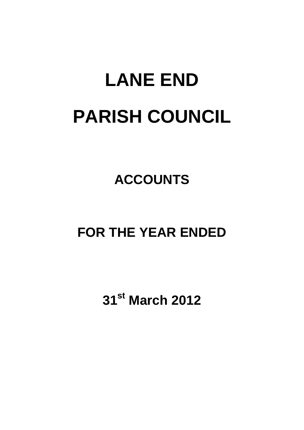# **LANE END PARISH COUNCIL**

## **ACCOUNTS**

### **FOR THE YEAR ENDED**

**31st March 2012**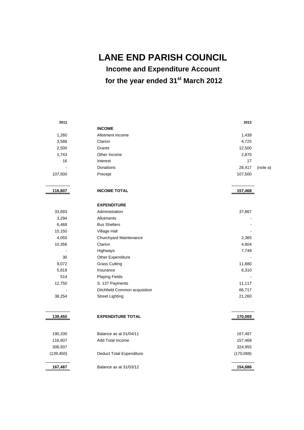**LANE END PARISH COUNCIL** 

**Income and Expenditure Account** 

**for the year ended 31st March 2012** 

| 2011       |                                 | 2012      |          |
|------------|---------------------------------|-----------|----------|
|            | <b>INCOME</b>                   |           |          |
| 1,260      | Allotment Income                | 1,439     |          |
| 3,588      | Clarion                         | 4,725     |          |
| 2,500      | Grants                          | 12,500    |          |
| 1,743      | Other Income                    | 2,870     |          |
| 16         | Interest                        | 17        |          |
|            | Donations                       | 28,417    | (note a) |
| 107,500    | Precept                         | 107,500   |          |
| 116,607    | <b>INCOME TOTAL</b>             | 157,468   |          |
|            | <b>EXPENDITURE</b>              |           |          |
| 33,693     | Administration                  | 37,867    |          |
| 3,294      | Allotments                      |           |          |
| 6,468      | <b>Bus Shelters</b>             |           |          |
| 15,150     | Village Hall                    |           |          |
| 4,050      | Churchyard Maintenance          | 2,365     |          |
| 10,356     | Clarion                         | 4,804     |          |
|            | Highways                        | 7,749     |          |
| 30         | Other Expenditure               |           |          |
| 9,072      | <b>Grass Cutting</b>            | 11,880    |          |
| 5,819      | Insurance                       | 6,310     |          |
| 514        | <b>Playing Fields</b>           |           |          |
| 12,750     | S. 137 Payments                 | 11,117    |          |
|            | Ditchfield Common acquisition   | 66,717    |          |
| 38,254     | <b>Street Lighting</b>          | 21,260    |          |
| 139,450    | <b>EXPENDITURE TOTAL</b>        | 170,069   |          |
|            |                                 |           |          |
| 190,330    | Balance as at 01/04/11          | 167,487   |          |
| 116,607    | <b>Add Total Income</b>         | 157,468   |          |
| 306,937    |                                 | 324,955   |          |
| (139, 450) | <b>Deduct Total Expenditure</b> | (170,069) |          |
| 167,487    | Balance as at 31/03/12          | 154,886   |          |
|            |                                 |           |          |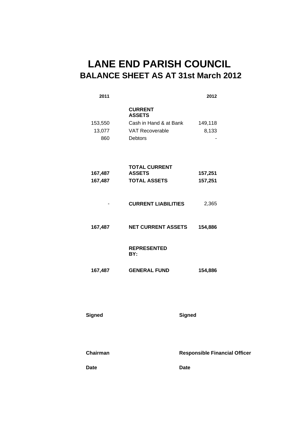### **LANE END PARISH COUNCIL BALANCE SHEET AS AT 31st March 2012**

| 2011                     |                                                                                                       | 2012                                 |
|--------------------------|-------------------------------------------------------------------------------------------------------|--------------------------------------|
| 153,550<br>13,077<br>860 | <b>CURRENT</b><br><b>ASSETS</b><br>Cash in Hand & at Bank<br><b>VAT Recoverable</b><br><b>Debtors</b> | 149,118<br>8,133                     |
| 167,487<br>167,487       | <b>TOTAL CURRENT</b><br><b>ASSETS</b><br><b>TOTAL ASSETS</b>                                          | 157,251<br>157,251                   |
|                          | <b>CURRENT LIABILITIES</b>                                                                            | 2,365                                |
| 167,487                  | <b>NET CURRENT ASSETS</b>                                                                             | 154,886                              |
|                          | <b>REPRESENTED</b><br>BY:                                                                             |                                      |
| 167,487                  | <b>GENERAL FUND</b>                                                                                   | 154,886                              |
| <b>Signed</b>            |                                                                                                       | <b>Signed</b>                        |
| <b>Chairman</b>          |                                                                                                       | <b>Responsible Financial Officer</b> |
| Date                     |                                                                                                       | <b>Date</b>                          |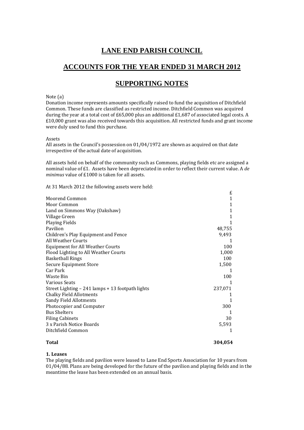### **LANE END PARISH COUNCIL**

#### **ACCOUNTS FOR THE YEAR ENDED 31 MARCH 2012**

#### **SUPPORTING NOTES**

#### Note  $(a)$

Donation income represents amounts specifically raised to fund the acquisition of Ditchfield Common. These funds are classified as restricted income. Ditchfield Common was acquired during the year at a total cost of £65,000 plus an additional £1,687 of associated legal costs. A  $£10,000$  grant was also received towards this acquisition. All restricted funds and grant income were duly used to fund this purchase.

#### Assets

All assets in the Council's possession on  $01/04/1972$  are shown as acquired on that date irrespective of the actual date of acquisition.

All assets held on behalf of the community such as Commons, playing fields etc are assigned a nominal value of £1. Assets have been depreciated in order to reflect their current value. A *de minimus* value of £1000 is taken for all assets.

At 31 March 2012 the following assets were held:

|                                                  | ∸       |  |
|--------------------------------------------------|---------|--|
| Moorend Common                                   | 1       |  |
| Moor Common                                      | 1       |  |
| Land on Simmons Way (Oakshaw)                    | 1       |  |
| Village Green                                    | 1       |  |
| Playing Fields                                   |         |  |
| Pavilion                                         | 48,755  |  |
| Children's Play Equipment and Fence              | 9,493   |  |
| All Weather Courts                               |         |  |
| <b>Equipment for All Weather Courts</b>          | 100     |  |
| Flood Lighting to All Weather Courts             | 1,000   |  |
| <b>Basketball Rings</b>                          | 100     |  |
| <b>Secure Equipment Store</b>                    | 1,500   |  |
| Car Park                                         |         |  |
| Waste Bin                                        | 100     |  |
| <b>Various Seats</b>                             |         |  |
| Street Lighting – 241 lamps + 13 footpath lights | 237,071 |  |
| <b>Chalky Field Allotments</b>                   |         |  |
| <b>Sandy Field Allotments</b>                    |         |  |
| Photocopier and Computer                         | 300     |  |
| <b>Bus Shelters</b>                              |         |  |
| <b>Filing Cabinets</b>                           | 30      |  |
| 3 x Parish Notice Boards                         | 5,593   |  |
| Ditchfield Common                                |         |  |
|                                                  |         |  |

#### **Total 304,054**

£ 

#### **1. Leases**

The playing fields and pavilion were leased to Lane End Sports Association for 10 years from  $01/04/88$ . Plans are being developed for the future of the pavilion and playing fields and in the meantime the lease has been extended on an annual basis.